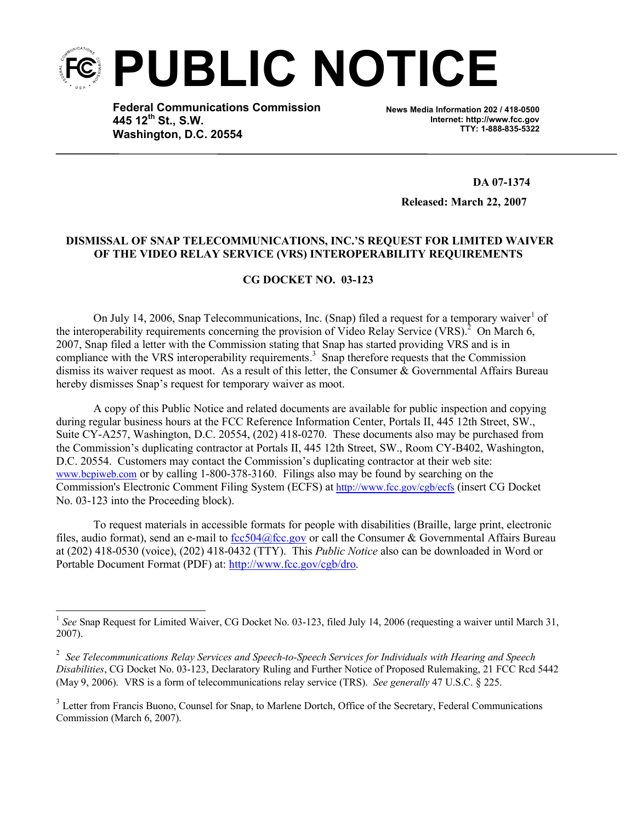

**Federal Communications Commission 445 12th St., S.W. Washington, D.C. 20554**

**News Media Information 202 / 418-0500 Internet: http://www.fcc.gov TTY: 1-888-835-5322**

**DA 07-1374**

**Released: March 22, 2007**

## **DISMISSAL OF SNAP TELECOMMUNICATIONS, INC.'S REQUEST FOR LIMITED WAIVER OF THE VIDEO RELAY SERVICE (VRS) INTEROPERABILITY REQUIREMENTS**

## **CG DOCKET NO. 03-123**

On July 14, 2006, Snap Telecommunications, Inc. (Snap) filed a request for a temporary waiver  $1$  of the interoperability requirements concerning the provision of Video Relay Service (VRS).<sup>2</sup> On March 6. 2007, Snap filed a letter with the Commission stating that Snap has started providing VRS and is in compliance with the VRS interoperability requirements.<sup>3</sup> Snap therefore requests that the Commission dismiss its waiver request as moot. As a result of this letter, the Consumer & Governmental Affairs Bureau hereby dismisses Snap's request for temporary waiver as moot.

A copy of this Public Notice and related documents are available for public inspection and copying during regular business hours at the FCC Reference Information Center, Portals II, 445 12th Street, SW., Suite CY-A257, Washington, D.C. 20554, (202) 418-0270. These documents also may be purchased from the Commission's duplicating contractor at Portals II, 445 12th Street, SW., Room CY-B402, Washington, D.C. 20554. Customers may contact the Commission's duplicating contractor at their web site: www.bcpiweb.com or by calling 1-800-378-3160. Filings also may be found by searching on the Commission's Electronic Comment Filing System (ECFS) at http://www.fcc.gov/cgb/ecfs (insert CG Docket No. 03-123 into the Proceeding block).

To request materials in accessible formats for people with disabilities (Braille, large print, electronic files, audio format), send an e-mail to fcc504@fcc.gov or call the Consumer & Governmental Affairs Bureau at (202) 418-0530 (voice), (202) 418-0432 (TTY). This *Public Notice* also can be downloaded in Word or Portable Document Format (PDF) at: http://www.fcc.gov/cgb/dro.

<sup>1</sup> *See* Snap Request for Limited Waiver, CG Docket No. 03-123, filed July 14, 2006 (requesting a waiver until March 31, 2007).

<sup>2</sup> *See Telecommunications Relay Services and Speech-to-Speech Services for Individuals with Hearing and Speech Disabilities*, CG Docket No. 03-123, Declaratory Ruling and Further Notice of Proposed Rulemaking, 21 FCC Rcd 5442 (May 9, 2006). VRS is a form of telecommunications relay service (TRS). *See generally* 47 U.S.C. § 225.

<sup>&</sup>lt;sup>3</sup> Letter from Francis Buono, Counsel for Snap, to Marlene Dortch, Office of the Secretary, Federal Communications Commission (March 6, 2007).